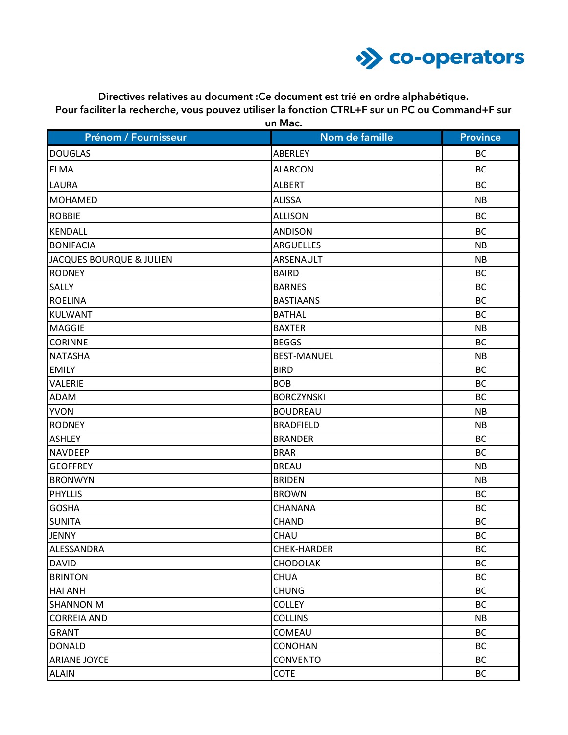

**Directives relatives au document :Ce document est trié en ordre alphabétique. Pour faciliter la recherche, vous pouvez utiliser la fonction CTRL+F sur un PC ou Command+F sur un Mac.**

| Prénom / Fournisseur                | Nom de famille     | <b>Province</b> |
|-------------------------------------|--------------------|-----------------|
|                                     |                    |                 |
| <b>DOUGLAS</b>                      | ABERLEY            | <b>BC</b>       |
| <b>ELMA</b>                         | <b>ALARCON</b>     | <b>BC</b>       |
| <b>LAURA</b>                        | <b>ALBERT</b>      | <b>BC</b>       |
| <b>MOHAMED</b>                      | <b>ALISSA</b>      | <b>NB</b>       |
| <b>ROBBIE</b>                       | <b>ALLISON</b>     | <b>BC</b>       |
| <b>KENDALL</b>                      | <b>ANDISON</b>     | <b>BC</b>       |
| <b>BONIFACIA</b>                    | <b>ARGUELLES</b>   | <b>NB</b>       |
| <b>JACQUES BOURQUE &amp; JULIEN</b> | ARSENAULT          | <b>NB</b>       |
| <b>RODNEY</b>                       | <b>BAIRD</b>       | <b>BC</b>       |
| <b>SALLY</b>                        | <b>BARNES</b>      | <b>BC</b>       |
| <b>ROELINA</b>                      | <b>BASTIAANS</b>   | <b>BC</b>       |
| <b>KULWANT</b>                      | <b>BATHAL</b>      | <b>BC</b>       |
| <b>MAGGIE</b>                       | <b>BAXTER</b>      | <b>NB</b>       |
| <b>CORINNE</b>                      | <b>BEGGS</b>       | <b>BC</b>       |
| <b>NATASHA</b>                      | <b>BEST-MANUEL</b> | <b>NB</b>       |
| <b>EMILY</b>                        | <b>BIRD</b>        | <b>BC</b>       |
| <b>VALERIE</b>                      | <b>BOB</b>         | <b>BC</b>       |
| <b>ADAM</b>                         | <b>BORCZYNSKI</b>  | <b>BC</b>       |
| <b>YVON</b>                         | <b>BOUDREAU</b>    | <b>NB</b>       |
| <b>RODNEY</b>                       | <b>BRADFIELD</b>   | <b>NB</b>       |
| <b>ASHLEY</b>                       | <b>BRANDER</b>     | <b>BC</b>       |
| <b>NAVDEEP</b>                      | <b>BRAR</b>        | <b>BC</b>       |
| <b>GEOFFREY</b>                     | <b>BREAU</b>       | <b>NB</b>       |
| <b>BRONWYN</b>                      | <b>BRIDEN</b>      | <b>NB</b>       |
| <b>PHYLLIS</b>                      | <b>BROWN</b>       | <b>BC</b>       |
| <b>GOSHA</b>                        | CHANANA            | <b>BC</b>       |
| <b>SUNITA</b>                       | <b>CHAND</b>       | <b>BC</b>       |
| <b>JENNY</b>                        | CHAU               | <b>BC</b>       |
| ALESSANDRA                          | CHEK-HARDER        | <b>BC</b>       |
| <b>DAVID</b>                        | <b>CHODOLAK</b>    | <b>BC</b>       |
| <b>BRINTON</b>                      | <b>CHUA</b>        | <b>BC</b>       |
| <b>HAI ANH</b>                      | <b>CHUNG</b>       | <b>BC</b>       |
| <b>SHANNON M</b>                    | <b>COLLEY</b>      | <b>BC</b>       |
| <b>CORREIA AND</b>                  | <b>COLLINS</b>     | <b>NB</b>       |
| <b>GRANT</b>                        | COMEAU             | <b>BC</b>       |
| <b>DONALD</b>                       | <b>CONOHAN</b>     | <b>BC</b>       |
| <b>ARIANE JOYCE</b>                 | <b>CONVENTO</b>    | <b>BC</b>       |
| <b>ALAIN</b>                        | <b>COTE</b>        | BC              |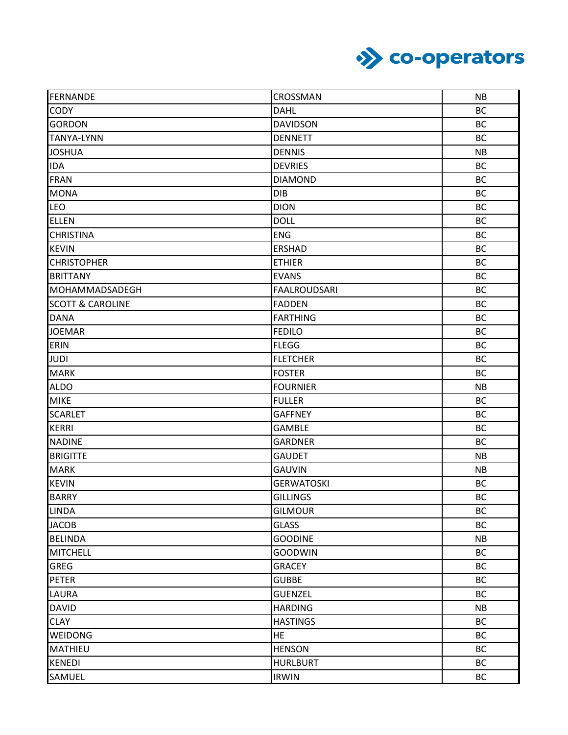

| FERNANDE                    | CROSSMAN            | <b>NB</b> |
|-----------------------------|---------------------|-----------|
| CODY                        | <b>DAHL</b>         | <b>BC</b> |
| <b>GORDON</b>               | <b>DAVIDSON</b>     | <b>BC</b> |
| <b>TANYA-LYNN</b>           | <b>DENNETT</b>      | <b>BC</b> |
| <b>JOSHUA</b>               | <b>DENNIS</b>       | <b>NB</b> |
| <b>IDA</b>                  | <b>DEVRIES</b>      | <b>BC</b> |
| <b>FRAN</b>                 | <b>DIAMOND</b>      | <b>BC</b> |
| <b>MONA</b>                 | <b>DIB</b>          | <b>BC</b> |
| LEO                         | <b>DION</b>         | <b>BC</b> |
| <b>ELLEN</b>                | <b>DOLL</b>         | <b>BC</b> |
| <b>CHRISTINA</b>            | <b>ENG</b>          | <b>BC</b> |
| <b>KEVIN</b>                | <b>ERSHAD</b>       | <b>BC</b> |
| <b>CHRISTOPHER</b>          | <b>ETHIER</b>       | <b>BC</b> |
| <b>BRITTANY</b>             | <b>EVANS</b>        | <b>BC</b> |
| MOHAMMADSADEGH              | <b>FAALROUDSARI</b> | <b>BC</b> |
| <b>SCOTT &amp; CAROLINE</b> | <b>FADDEN</b>       | <b>BC</b> |
| <b>DANA</b>                 | <b>FARTHING</b>     | <b>BC</b> |
| <b>JOEMAR</b>               | <b>FEDILO</b>       | <b>BC</b> |
| ERIN                        | <b>FLEGG</b>        | <b>BC</b> |
| <b>JUDI</b>                 | <b>FLETCHER</b>     | <b>BC</b> |
| <b>MARK</b>                 | <b>FOSTER</b>       | <b>BC</b> |
| <b>ALDO</b>                 | <b>FOURNIER</b>     | <b>NB</b> |
| <b>MIKE</b>                 | <b>FULLER</b>       | <b>BC</b> |
| <b>SCARLET</b>              | <b>GAFFNEY</b>      | <b>BC</b> |
| <b>KERRI</b>                | <b>GAMBLE</b>       | <b>BC</b> |
| <b>NADINE</b>               | <b>GARDNER</b>      | <b>BC</b> |
| <b>BRIGITTE</b>             | <b>GAUDET</b>       | <b>NB</b> |
| <b>MARK</b>                 | <b>GAUVIN</b>       | <b>NB</b> |
| <b>KEVIN</b>                | <b>GERWATOSKI</b>   | <b>BC</b> |
| <b>BARRY</b>                | <b>GILLINGS</b>     | <b>BC</b> |
| <b>LINDA</b>                | <b>GILMOUR</b>      | <b>BC</b> |
| <b>JACOB</b>                | <b>GLASS</b>        | <b>BC</b> |
| <b>BELINDA</b>              | <b>GOODINE</b>      | <b>NB</b> |
| <b>MITCHELL</b>             | <b>GOODWIN</b>      | <b>BC</b> |
| <b>GREG</b>                 | <b>GRACEY</b>       | <b>BC</b> |
| <b>PETER</b>                | <b>GUBBE</b>        | <b>BC</b> |
| LAURA                       | <b>GUENZEL</b>      | <b>BC</b> |
| <b>DAVID</b>                | <b>HARDING</b>      | <b>NB</b> |
| <b>CLAY</b>                 | <b>HASTINGS</b>     | <b>BC</b> |
| <b>WEIDONG</b>              | <b>HE</b>           | <b>BC</b> |
| MATHIEU                     | <b>HENSON</b>       | <b>BC</b> |
| <b>KENEDI</b>               | <b>HURLBURT</b>     | <b>BC</b> |
| SAMUEL                      | <b>IRWIN</b>        | <b>BC</b> |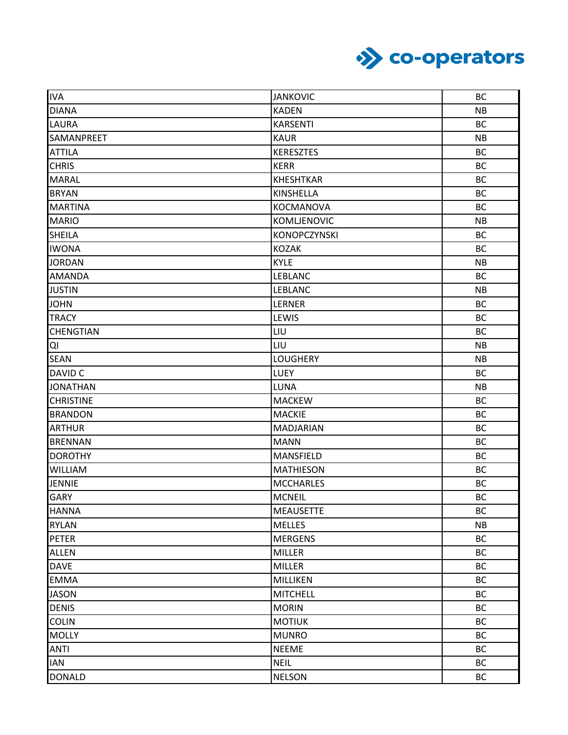

| <b>IVA</b>       | <b>JANKOVIC</b>     | <b>BC</b> |
|------------------|---------------------|-----------|
| <b>DIANA</b>     | <b>KADEN</b>        | <b>NB</b> |
| LAURA            | <b>KARSENTI</b>     | <b>BC</b> |
| SAMANPREET       | <b>KAUR</b>         | <b>NB</b> |
| <b>ATTILA</b>    | <b>KERESZTES</b>    | <b>BC</b> |
| <b>CHRIS</b>     | <b>KERR</b>         | <b>BC</b> |
| <b>MARAL</b>     | <b>KHESHTKAR</b>    | <b>BC</b> |
| <b>BRYAN</b>     | KINSHELLA           | <b>BC</b> |
| <b>MARTINA</b>   | KOCMANOVA           | <b>BC</b> |
| <b>MARIO</b>     | KOMLJENOVIC         | <b>NB</b> |
| <b>SHEILA</b>    | <b>KONOPCZYNSKI</b> | <b>BC</b> |
| <b>IWONA</b>     | <b>KOZAK</b>        | <b>BC</b> |
| <b>JORDAN</b>    | <b>KYLE</b>         | <b>NB</b> |
| <b>AMANDA</b>    | <b>LEBLANC</b>      | <b>BC</b> |
| <b>JUSTIN</b>    | LEBLANC             | NB        |
| <b>JOHN</b>      | LERNER              | <b>BC</b> |
| <b>TRACY</b>     | LEWIS               | <b>BC</b> |
| CHENGTIAN        | LIU                 | <b>BC</b> |
| QI               | LIU                 | <b>NB</b> |
| <b>SEAN</b>      | <b>LOUGHERY</b>     | NB        |
| DAVID C          | LUEY                | <b>BC</b> |
| <b>JONATHAN</b>  | LUNA                | NB        |
| <b>CHRISTINE</b> | <b>MACKEW</b>       | <b>BC</b> |
| <b>BRANDON</b>   | <b>MACKIE</b>       | <b>BC</b> |
| <b>ARTHUR</b>    | MADJARIAN           | <b>BC</b> |
| <b>BRENNAN</b>   | <b>MANN</b>         | <b>BC</b> |
| <b>DOROTHY</b>   | MANSFIELD           | <b>BC</b> |
| <b>WILLIAM</b>   | <b>MATHIESON</b>    | <b>BC</b> |
| <b>JENNIE</b>    | <b>MCCHARLES</b>    | <b>BC</b> |
| <b>GARY</b>      | <b>MCNEIL</b>       | <b>BC</b> |
| <b>HANNA</b>     | <b>MEAUSETTE</b>    | <b>BC</b> |
| <b>RYLAN</b>     | <b>MELLES</b>       | <b>NB</b> |
| <b>PETER</b>     | <b>MERGENS</b>      | <b>BC</b> |
| <b>ALLEN</b>     | <b>MILLER</b>       | <b>BC</b> |
| <b>DAVE</b>      | MILLER              | <b>BC</b> |
| <b>EMMA</b>      | MILLIKEN            | <b>BC</b> |
| <b>JASON</b>     | <b>MITCHELL</b>     | <b>BC</b> |
| <b>DENIS</b>     | <b>MORIN</b>        | <b>BC</b> |
| <b>COLIN</b>     | <b>MOTIUK</b>       | <b>BC</b> |
| <b>MOLLY</b>     | <b>MUNRO</b>        | <b>BC</b> |
| <b>ANTI</b>      | <b>NEEME</b>        | <b>BC</b> |
| <b>IAN</b>       | <b>NEIL</b>         | <b>BC</b> |
| <b>DONALD</b>    | <b>NELSON</b>       | <b>BC</b> |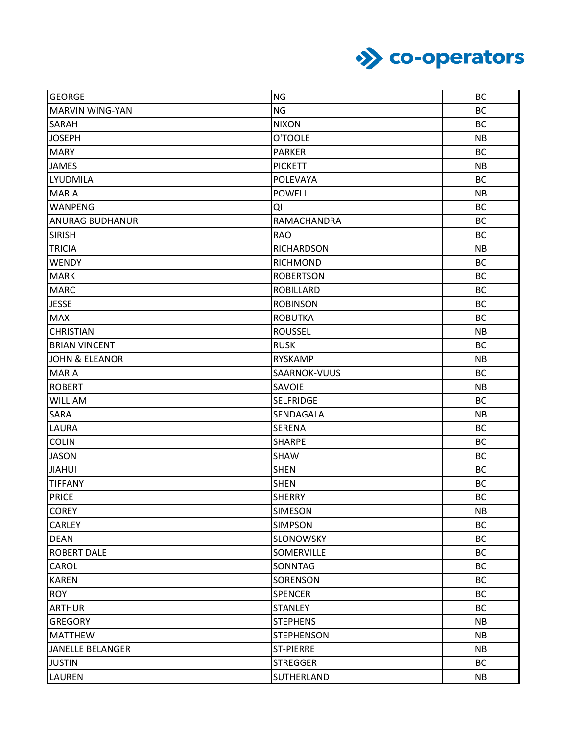

| <b>GEORGE</b>             | <b>NG</b>         | <b>BC</b> |
|---------------------------|-------------------|-----------|
| MARVIN WING-YAN           | <b>NG</b>         | <b>BC</b> |
| <b>SARAH</b>              | <b>NIXON</b>      | <b>BC</b> |
| <b>JOSEPH</b>             | O'TOOLE           | <b>NB</b> |
| <b>MARY</b>               | <b>PARKER</b>     | <b>BC</b> |
| <b>JAMES</b>              | <b>PICKETT</b>    | <b>NB</b> |
| <b>LYUDMILA</b>           | POLEVAYA          | <b>BC</b> |
| <b>MARIA</b>              | POWELL            | <b>NB</b> |
| <b>WANPENG</b>            | QI                | <b>BC</b> |
| <b>ANURAG BUDHANUR</b>    | RAMACHANDRA       | <b>BC</b> |
| <b>SIRISH</b>             | <b>RAO</b>        | <b>BC</b> |
| <b>TRICIA</b>             | <b>RICHARDSON</b> | <b>NB</b> |
| <b>WENDY</b>              | <b>RICHMOND</b>   | <b>BC</b> |
| <b>MARK</b>               | <b>ROBERTSON</b>  | <b>BC</b> |
| <b>MARC</b>               | <b>ROBILLARD</b>  | <b>BC</b> |
| <b>JESSE</b>              | <b>ROBINSON</b>   | <b>BC</b> |
| <b>MAX</b>                | <b>ROBUTKA</b>    | <b>BC</b> |
| <b>CHRISTIAN</b>          | <b>ROUSSEL</b>    | <b>NB</b> |
| <b>BRIAN VINCENT</b>      | <b>RUSK</b>       | <b>BC</b> |
| <b>JOHN &amp; ELEANOR</b> | <b>RYSKAMP</b>    | <b>NB</b> |
| <b>MARIA</b>              | SAARNOK-VUUS      | <b>BC</b> |
| <b>ROBERT</b>             | SAVOIE            | <b>NB</b> |
| <b>WILLIAM</b>            | <b>SELFRIDGE</b>  | <b>BC</b> |
| <b>SARA</b>               | SENDAGALA         | <b>NB</b> |
| LAURA                     | <b>SERENA</b>     | <b>BC</b> |
| <b>COLIN</b>              | <b>SHARPE</b>     | <b>BC</b> |
| <b>JASON</b>              | <b>SHAW</b>       | <b>BC</b> |
| <b>JIAHUI</b>             | <b>SHEN</b>       | <b>BC</b> |
| <b>TIFFANY</b>            | <b>SHEN</b>       | <b>BC</b> |
| PRICE                     | <b>SHERRY</b>     | <b>BC</b> |
| <b>COREY</b>              | <b>SIMESON</b>    | NB        |
| <b>CARLEY</b>             | <b>SIMPSON</b>    | <b>BC</b> |
| <b>DEAN</b>               | SLONOWSKY         | <b>BC</b> |
| <b>ROBERT DALE</b>        | SOMERVILLE        | <b>BC</b> |
| CAROL                     | SONNTAG           | <b>BC</b> |
| <b>KAREN</b>              | SORENSON          | <b>BC</b> |
| <b>ROY</b>                | <b>SPENCER</b>    | <b>BC</b> |
| <b>ARTHUR</b>             | <b>STANLEY</b>    | <b>BC</b> |
| <b>GREGORY</b>            | <b>STEPHENS</b>   | <b>NB</b> |
| <b>MATTHEW</b>            | <b>STEPHENSON</b> | <b>NB</b> |
| <b>JANELLE BELANGER</b>   | <b>ST-PIERRE</b>  | <b>NB</b> |
| <b>JUSTIN</b>             | <b>STREGGER</b>   | <b>BC</b> |
| <b>LAUREN</b>             | <b>SUTHERLAND</b> | <b>NB</b> |